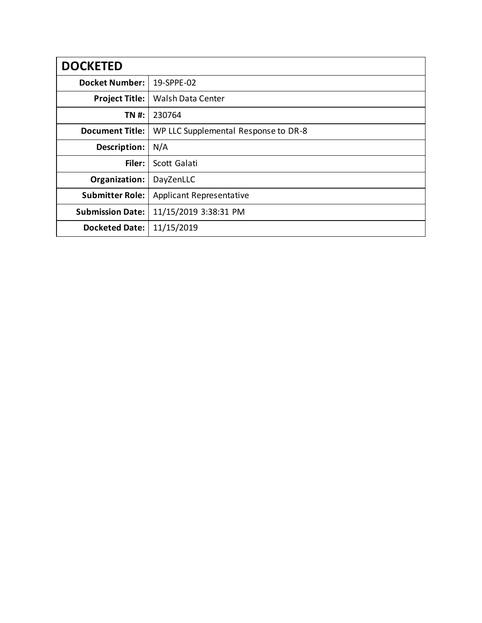| <b>DOCKETED</b>         |                                      |
|-------------------------|--------------------------------------|
| <b>Docket Number:</b>   | 19-SPPE-02                           |
| <b>Project Title:</b>   | <b>Walsh Data Center</b>             |
| TN #:                   | 230764                               |
| <b>Document Title:</b>  | WP LLC Supplemental Response to DR-8 |
| Description:            | N/A                                  |
| Filer:                  | Scott Galati                         |
| Organization:           | DayZenLLC                            |
| <b>Submitter Role:</b>  | <b>Applicant Representative</b>      |
| <b>Submission Date:</b> | 11/15/2019 3:38:31 PM                |
| <b>Docketed Date:</b>   | 11/15/2019                           |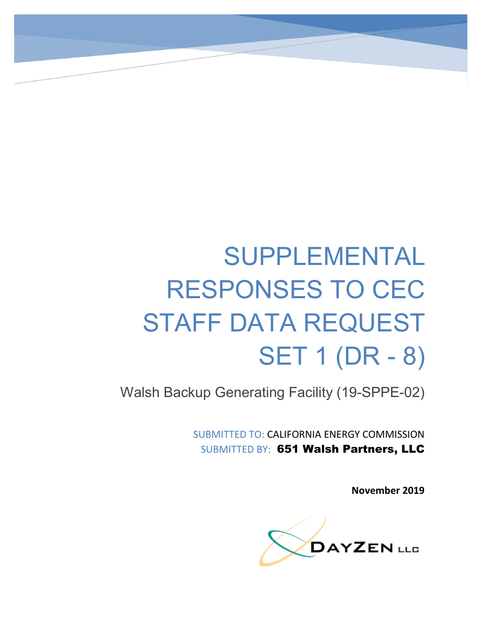# SUPPLEMENTAL RESPONSES TO CEC STAFF DATA REQUEST SET 1 (DR - 8)

Walsh Backup Generating Facility (19-SPPE-02)

SUBMITTED TO: CALIFORNIA ENERGY COMMISSION SUBMITTED BY: 651 Walsh Partners, LLC

**November 2019**

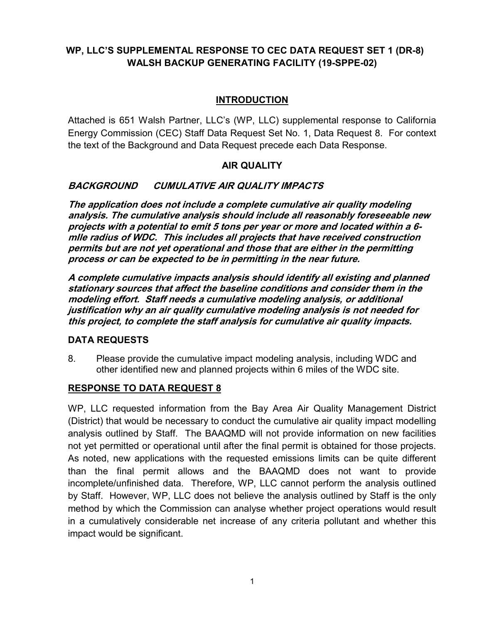## **WP, LLC'S SUPPLEMENTAL RESPONSE TO CEC DATA REQUEST SET 1 (DR-8) WALSH BACKUP GENERATING FACILITY (19-SPPE-02)**

### **INTRODUCTION**

Attached is 651 Walsh Partner, LLC's (WP, LLC) supplemental response to California Energy Commission (CEC) Staff Data Request Set No. 1, Data Request 8. For context the text of the Background and Data Request precede each Data Response.

#### **AIR QUALITY**

#### **BACKGROUND CUMULATIVE AIR QUALITY IMPACTS**

**The application does not include a complete cumulative air quality modeling analysis. The cumulative analysis should include all reasonably foreseeable new projects with a potential to emit 5 tons per year or more and located within a 6 mIle radius of WDC. This includes all projects that have received construction permits but are not yet operational and those that are either in the permitting process or can be expected to be in permitting in the near future.**

**A complete cumulative impacts analysis should identify all existing and planned stationary sources that affect the baseline conditions and consider them in the modeling effort. Staff needs a cumulative modeling analysis, or additional justification why an air quality cumulative modeling analysis is not needed for this project, to complete the staff analysis for cumulative air quality impacts.**

#### **DATA REQUESTS**

8. Please provide the cumulative impact modeling analysis, including WDC and other identified new and planned projects within 6 miles of the WDC site.

#### **RESPONSE TO DATA REQUEST 8**

WP, LLC requested information from the Bay Area Air Quality Management District (District) that would be necessary to conduct the cumulative air quality impact modelling analysis outlined by Staff. The BAAQMD will not provide information on new facilities not yet permitted or operational until after the final permit is obtained for those projects. As noted, new applications with the requested emissions limits can be quite different than the final permit allows and the BAAQMD does not want to provide incomplete/unfinished data. Therefore, WP, LLC cannot perform the analysis outlined by Staff. However, WP, LLC does not believe the analysis outlined by Staff is the only method by which the Commission can analyse whether project operations would result in a cumulatively considerable net increase of any criteria pollutant and whether this impact would be significant.